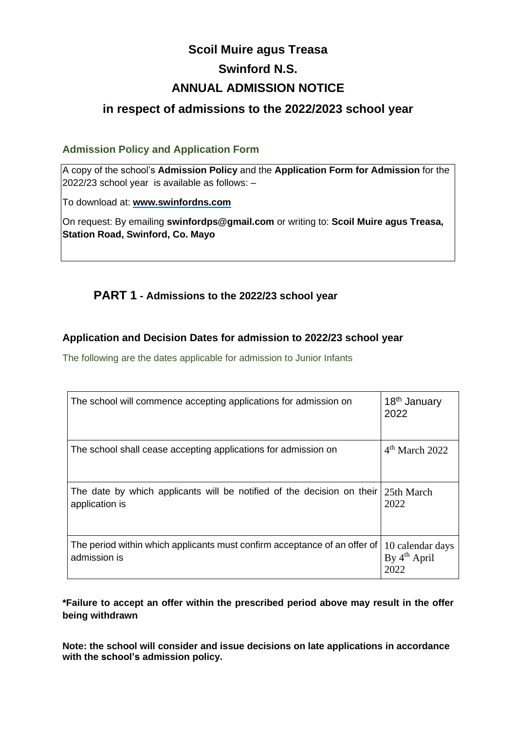# **Scoil Muire agus Treasa Swinford N.S. ANNUAL ADMISSION NOTICE**

## **in respect of admissions to the 2022/2023 school year**

#### **Admission Policy and Application Form**

A copy of the school's **Admission Policy** and the **Application Form for Admission** for the 2022/23 school year is available as follows: –

To download at: **www.swinfordns.com**

On request: By emailing **swinfordps@gmail.com** or writing to: **Scoil Muire agus Treasa, Station Road, Swinford, Co. Mayo**

## **PART 1 - Admissions to the 2022/23 school year**

#### **Application and Decision Dates for admission to 2022/23 school year**

The following are the dates applicable for admission to Junior Infants

| The school will commence accepting applications for admission on                                      | 18 <sup>th</sup> January<br>2022           |
|-------------------------------------------------------------------------------------------------------|--------------------------------------------|
| The school shall cease accepting applications for admission on                                        | $4th$ March 2022                           |
| The date by which applicants will be notified of the decision on their $25th$ March<br>application is | 2022                                       |
| The period within which applicants must confirm acceptance of an offer of<br>admission is             | 10 calendar days<br>By $4th$ April<br>2022 |

**\*Failure to accept an offer within the prescribed period above may result in the offer being withdrawn**

**Note: the school will consider and issue decisions on late applications in accordance with the school's admission policy.**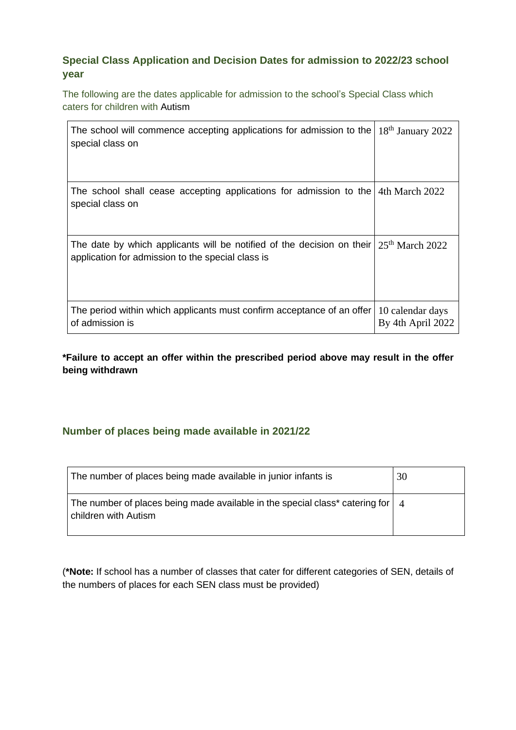### **Special Class Application and Decision Dates for admission to 2022/23 school year**

The following are the dates applicable for admission to the school's Special Class which caters for children with Autism

| The school will commence accepting applications for admission to the<br>special class on                                                      | $18th$ January 2022                   |
|-----------------------------------------------------------------------------------------------------------------------------------------------|---------------------------------------|
| The school shall cease accepting applications for admission to the $4th$ March 2022<br>special class on                                       |                                       |
| The date by which applicants will be notified of the decision on their $25th$ March 2022<br>application for admission to the special class is |                                       |
| The period within which applicants must confirm acceptance of an offer<br>of admission is                                                     | 10 calendar days<br>By 4th April 2022 |

#### **\*Failure to accept an offer within the prescribed period above may result in the offer being withdrawn**

#### **Number of places being made available in 2021/22**

| The number of places being made available in junior infants is                                                         | 30 |
|------------------------------------------------------------------------------------------------------------------------|----|
| The number of places being made available in the special class* catering for $\vert 4 \rangle$<br>children with Autism |    |

(**\*Note:** If school has a number of classes that cater for different categories of SEN, details of the numbers of places for each SEN class must be provided)